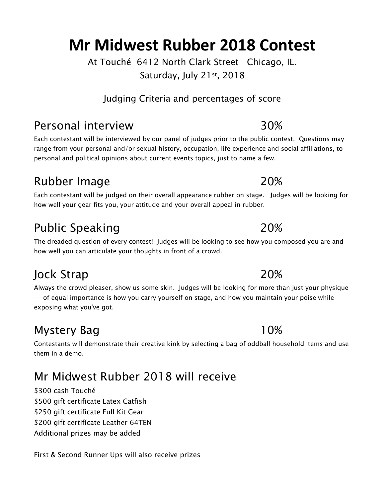At Touché 6412 North Clark Street Chicago, IL. Saturday, July 21st, 2018

Judging Criteria and percentages of score

# Personal interview 30%

Each contestant will be interviewed by our panel of judges prior to the public contest. Questions may range from your personal and/or sexual history, occupation, life experience and social affiliations, to personal and political opinions about current events topics, just to name a few.

# Rubber Image 20%

Each contestant will be judged on their overall appearance rubber on stage. Judges will be looking for how well your gear fits you, your attitude and your overall appeal in rubber.

# Public Speaking 20%

The dreaded question of every contest! Judges will be looking to see how you composed you are and how well you can articulate your thoughts in front of a crowd.

# Jock Strap 20%

Always the crowd pleaser, show us some skin. Judges will be looking for more than just your physique -- of equal importance is how you carry yourself on stage, and how you maintain your poise while exposing what you've got.

# Mystery Bag 10%

Contestants will demonstrate their creative kink by selecting a bag of oddball household items and use them in a demo.

# Mr Midwest Rubber 2018 will receive

\$300 cash Touché \$500 gift certificate Latex Catfish \$250 gift certificate Full Kit Gear \$200 gift certificate Leather 64TEN Additional prizes may be added

First & Second Runner Ups will also receive prizes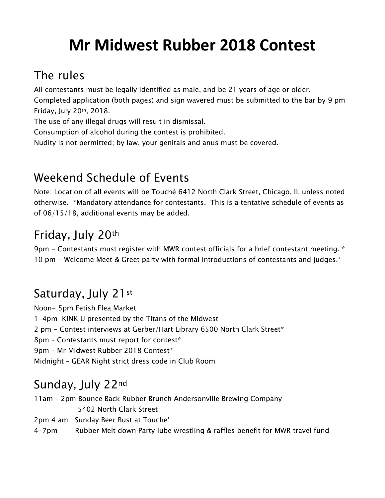### The rules

All contestants must be legally identified as male, and be 21 years of age or older.

Completed application (both pages) and sign wavered must be submitted to the bar by 9 pm Friday, July 20th, 2018.

The use of any illegal drugs will result in dismissal.

Consumption of alcohol during the contest is prohibited.

Nudity is not permitted; by law, your genitals and anus must be covered.

### Weekend Schedule of Events

Note: Location of all events will be Touché 6412 North Clark Street, Chicago, IL unless noted otherwise. \*Mandatory attendance for contestants. This is a tentative schedule of events as of 06/15/18, additional events may be added.

### Friday, July 20th

9pm - Contestants must register with MWR contest officials for a brief contestant meeting. \* 10 pm - Welcome Meet & Greet party with formal introductions of contestants and judges.\*

# Saturday, July 21st

Noon- 5pm Fetish Flea Market 1-4pm KINK U presented by the Titans of the Midwest 2 pm - Contest interviews at Gerber/Hart Library 6500 North Clark Street\* 8pm - Contestants must report for contest\* 9pm – Mr Midwest Rubber 2018 Contest\* Midnight – GEAR Night strict dress code in Club Room

### Sunday, July 22nd

11am – 2pm Bounce Back Rubber Brunch Andersonville Brewing Company 5402 North Clark Street 2pm 4 am Sunday Beer Bust at Touche' 4-7pm Rubber Melt down Party lube wrestling & raffles benefit for MWR travel fund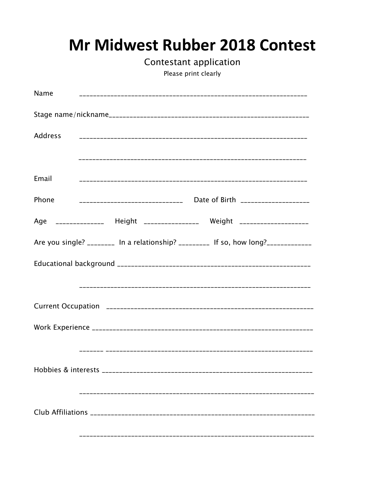Contestant application

Please print clearly

| Name                            |                                 |                                                                                   |
|---------------------------------|---------------------------------|-----------------------------------------------------------------------------------|
|                                 |                                 |                                                                                   |
| Address                         |                                 |                                                                                   |
|                                 |                                 |                                                                                   |
| Email                           |                                 |                                                                                   |
| Phone                           | _______________________________ | Date of Birth ____________________                                                |
|                                 |                                 | Age _______________ Height ________________ Weight ___________________            |
|                                 |                                 | Are you single? ________ In a relationship? _________ If so, how long?___________ |
|                                 |                                 |                                                                                   |
|                                 |                                 |                                                                                   |
|                                 |                                 |                                                                                   |
|                                 |                                 |                                                                                   |
|                                 |                                 |                                                                                   |
| Hobbies & interests ___________ |                                 |                                                                                   |
|                                 |                                 |                                                                                   |
|                                 |                                 |                                                                                   |
|                                 |                                 |                                                                                   |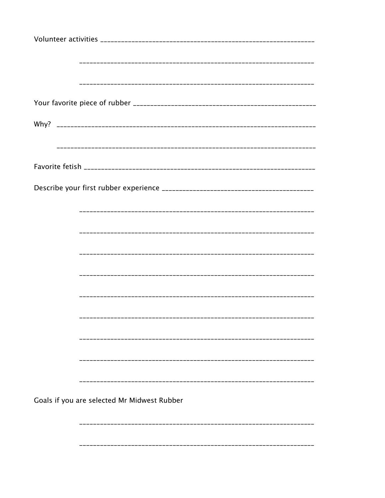| Goals if you are selected Mr Midwest Rubber |  |
|---------------------------------------------|--|
|                                             |  |
|                                             |  |
|                                             |  |
|                                             |  |
|                                             |  |